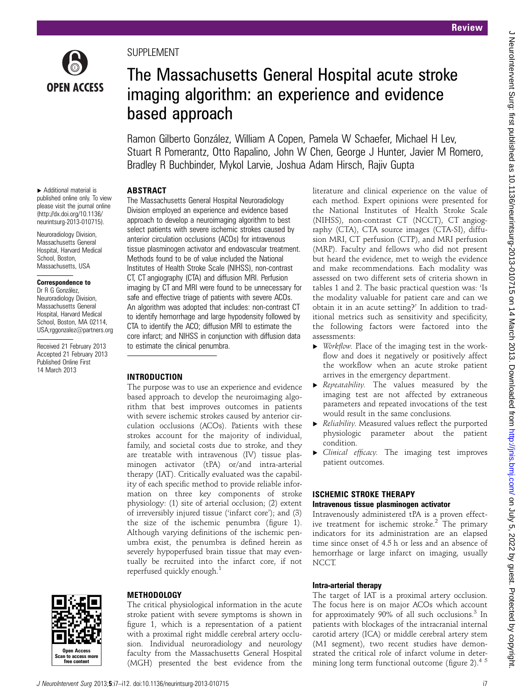

# The Massachusetts General Hospital acute stroke imaging algorithm: an experience and evidence based approach

Ramon Gilberto González, William A Copen, Pamela W Schaefer, Michael H Lev, Stuart R Pomerantz, Otto Rapalino, John W Chen, George J Hunter, Javier M Romero, Bradley R Buchbinder, Mykol Larvie, Joshua Adam Hirsch, Rajiv Gupta

# **ARSTRACT**

SUPPLEMENT

▸ Additional material is published online only. To view please visit the journal online [\(http://dx.doi.org/10.1136/](http://dx.doi.org/10.1136/neurintsurg-2013-010715) [neurintsurg-2013-010715](http://dx.doi.org/10.1136/neurintsurg-2013-010715)).

Neuroradiology Division, Massachusetts General Hospital, Harvard Medical School, Boston, Massachusetts, USA

#### Correspondence to

Dr R G González, Neuroradiology Division, Massachusetts General Hospital, Harvard Medical School, Boston, MA 02114 USA;rggonzalez@partners.org

Received 21 February 2013 Accepted 21 February 2013 Published Online First 14 March 2013

The Massachusetts General Hospital Neuroradiology Division employed an experience and evidence based approach to develop a neuroimaging algorithm to best select patients with severe ischemic strokes caused by anterior circulation occlusions (ACOs) for intravenous tissue plasminogen activator and endovascular treatment. Methods found to be of value included the National Institutes of Health Stroke Scale (NIHSS), non-contrast CT, CT angiography (CTA) and diffusion MRI. Perfusion imaging by CT and MRI were found to be unnecessary for safe and effective triage of patients with severe ACOs. An algorithm was adopted that includes: non-contrast CT to identify hemorrhage and large hypodensity followed by CTA to identify the ACO; diffusion MRI to estimate the core infarct; and NIHSS in conjunction with diffusion data to estimate the clinical penumbra.

# INTRODUCTION

The purpose was to use an experience and evidence based approach to develop the neuroimaging algorithm that best improves outcomes in patients with severe ischemic strokes caused by anterior circulation occlusions (ACOs). Patients with these strokes account for the majority of individual, family, and societal costs due to stroke, and they are treatable with intravenous (IV) tissue plasminogen activator (tPA) or/and intra-arterial therapy (IAT). Critically evaluated was the capability of each specific method to provide reliable information on three key components of stroke physiology: (1) site of arterial occlusion; (2) extent of irreversibly injured tissue ('infarct core'); and (3) the size of the ischemic penumbra (figure 1). Although varying definitions of the ischemic penumbra exist, the penumbra is defined herein as severely hypoperfused brain tissue that may eventually be recruited into the infarct core, if not reperfused quickly enough.<sup>1</sup>

# Open Access Scan to access more free content

# METHODOLOGY

The critical physiological information in the acute stroke patient with severe symptoms is shown in figure 1, which is a representation of a patient with a proximal right middle cerebral artery occlusion. Individual neuroradiology and neurology faculty from the Massachusetts General Hospital (MGH) presented the best evidence from the literature and clinical experience on the value of each method. Expert opinions were presented for the National Institutes of Health Stroke Scale (NIHSS), non-contrast CT (NCCT), CT angiography (CTA), CTA source images (CTA-SI), diffusion MRI, CT perfusion (CTP), and MRI perfusion (MRP). Faculty and fellows who did not present but heard the evidence, met to weigh the evidence and make recommendations. Each modality was assessed on two different sets of criteria shown in tables 1 and 2. The basic practical question was: 'Is the modality valuable for patient care and can we obtain it in an acute setting?' In addition to traditional metrics such as sensitivity and specificity, the following factors were factored into the assessments:

- ▸ Workflow. Place of the imaging test in the workflow and does it negatively or positively affect the workflow when an acute stroke patient arrives in the emergency department.
- ▶ Repeatability. The values measured by the imaging test are not affected by extraneous parameters and repeated invocations of the test would result in the same conclusions.
- ▶ Reliability. Measured values reflect the purported physiologic parameter about the patient condition.
- ▶ Clinical efficacy. The imaging test improves patient outcomes.

# ISCHEMIC STROKE THERAPY Intravenous tissue plasminogen activator

Intravenously administered tPA is a proven effective treatment for ischemic stroke.<sup>2</sup> The primary indicators for its administration are an elapsed time since onset of 4.5 h or less and an absence of hemorrhage or large infarct on imaging, usually NCCT.

# Intra-arterial therapy

The target of IAT is a proximal artery occlusion. The focus here is on major ACOs which account for approximately 90% of all such occlusions.<sup>3</sup> In patients with blockages of the intracranial internal carotid artery (ICA) or middle cerebral artery stem (M1 segment), two recent studies have demonstrated the critical role of infarct volume in determining long term functional outcome (figure 2). $4\frac{5}{7}$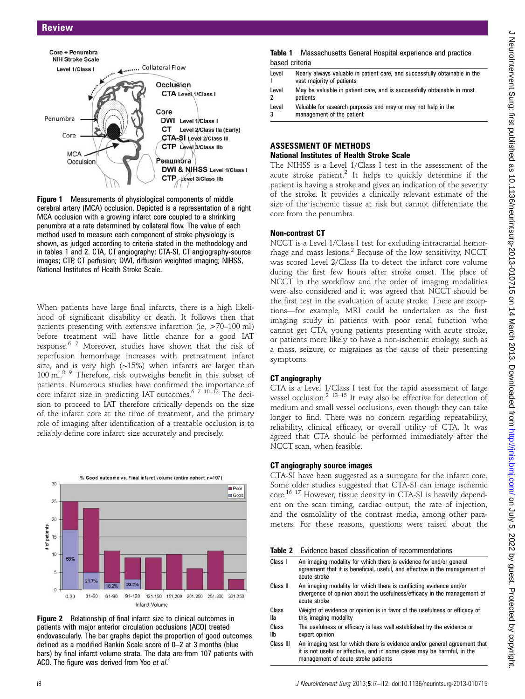

Figure 1 Measurements of physiological components of middle cerebral artery (MCA) occlusion. Depicted is a representation of a right MCA occlusion with a growing infarct core coupled to a shrinking penumbra at a rate determined by collateral flow. The value of each method used to measure each component of stroke physiology is shown, as judged according to criteria stated in the methodology and in tables 1 and 2. CTA, CT angiography; CTA-SI, CT angiography-source images; CTP, CT perfusion; DWI, diffusion weighted imaging; NIHSS, National Institutes of Health Stroke Scale.

When patients have large final infarcts, there is a high likelihood of significant disability or death. It follows then that patients presenting with extensive infarction (ie, >70–100 ml) before treatment will have little chance for a good IAT response.6 7 Moreover, studies have shown that the risk of reperfusion hemorrhage increases with pretreatment infarct size, and is very high (∼15%) when infarcts are larger than 100 ml.8 9 Therefore, risk outweighs benefit in this subset of patients. Numerous studies have confirmed the importance of core infarct size in predicting IAT outcomes.<sup>6 7 10–12</sup> The decision to proceed to IAT therefore critically depends on the size of the infarct core at the time of treatment, and the primary role of imaging after identification of a treatable occlusion is to reliably define core infarct size accurately and precisely.





#### Table 1 Massachusetts General Hospital experience and practice based criteria

| Level | Nearly always valuable in patient care, and successfully obtainable in the<br>vast majority of patients |
|-------|---------------------------------------------------------------------------------------------------------|
| Level | May be valuable in patient care, and is successfully obtainable in most<br>patients                     |
| Level | Valuable for research purposes and may or may not help in the<br>management of the patient              |

# ASSESSMENT OF METHODS National Institutes of Health Stroke Scale

The NIHSS is a Level 1/Class I test in the assessment of the acute stroke patient.<sup>2</sup> It helps to quickly determine if the patient is having a stroke and gives an indication of the severity of the stroke. It provides a clinically relevant estimate of the size of the ischemic tissue at risk but cannot differentiate the core from the penumbra.

# Non-contrast CT

NCCT is a Level 1/Class I test for excluding intracranial hemorrhage and mass lesions.<sup>2</sup> Because of the low sensitivity, NCCT was scored Level 2/Class IIa to detect the infarct core volume during the first few hours after stroke onset. The place of NCCT in the workflow and the order of imaging modalities were also considered and it was agreed that NCCT should be the first test in the evaluation of acute stroke. There are exceptions—for example, MRI could be undertaken as the first imaging study in patients with poor renal function who cannot get CTA, young patients presenting with acute stroke, or patients more likely to have a non-ischemic etiology, such as a mass, seizure, or migraines as the cause of their presenting symptoms.

# CT angiography

CTA is a Level 1/Class I test for the rapid assessment of large vessel occlusion.2 13–<sup>15</sup> It may also be effective for detection of medium and small vessel occlusions, even though they can take longer to find. There was no concern regarding repeatability, reliability, clinical efficacy, or overall utility of CTA. It was agreed that CTA should be performed immediately after the NCCT scan, when feasible.

#### CT angiography source images

CTA-SI have been suggested as a surrogate for the infarct core. Some older studies suggested that CTA-SI can image ischemic core.<sup>16 17</sup> However, tissue density in CTA-SI is heavily dependent on the scan timing, cardiac output, the rate of injection, and the osmolality of the contrast media, among other parameters. For these reasons, questions were raised about the

| <b>Table 2</b> Evidence based classification of recommendations |
|-----------------------------------------------------------------|
|-----------------------------------------------------------------|

- Class I An imaging modality for which there is evidence for and/or general agreement that it is beneficial, useful, and effective in the management of acute stroke
- Class II An imaging modality for which there is conflicting evidence and/or divergence of opinion about the usefulness/efficacy in the management of acute stroke
- Class Weight of evidence or opinion is in favor of the usefulness or efficacy of this imaging modality
- IIa
- Class IIb The usefulness or efficacy is less well established by the evidence or expert opinion
- Class III An imaging test for which there is evidence and/or general agreement that it is not useful or effective, and in some cases may be harmful, in the management of acute stroke patients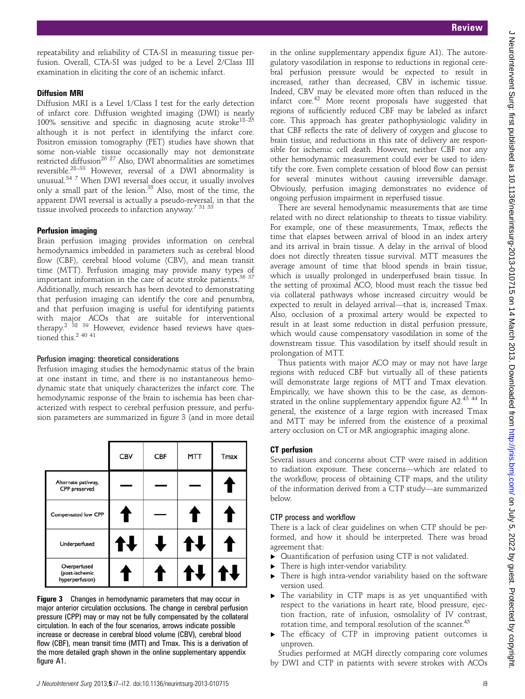repeatability and reliability of CTA-SI in measuring tissue perfusion. Overall, CTA-SI was judged to be a Level 2/Class III examination in eliciting the core of an ischemic infarct.

# Diffusion MRI

Diffusion MRI is a Level 1/Class I test for the early detection of infarct core. Diffusion weighted imaging (DWI) is nearly 100% sensitive and specific in diagnosing acute stroke<sup>18–25</sup> although it is not perfect in identifying the infarct core. Positron emission tomography (PET) studies have shown that some non-viable tissue occasionally may not demonstrate restricted diffusion<sup>26 27</sup> Also, DWI abnormalities are sometimes reversible.28–<sup>33</sup> However, reversal of a DWI abnormality is unusual.34 7 When DWI reversal does occur, it usually involves only a small part of the lesion.<sup>35</sup> Also, most of the time, the apparent DWI reversal is actually a pseudo-reversal, in that the tissue involved proceeds to infarction anyway.<sup>7 31 33</sup>

#### Perfusion imaging

Brain perfusion imaging provides information on cerebral hemodynamics imbedded in parameters such as cerebral blood flow (CBF), cerebral blood volume (CBV), and mean transit time (MTT). Perfusion imaging may provide many types of important information in the care of acute stroke patients.<sup>36 37</sup> Additionally, much research has been devoted to demonstrating that perfusion imaging can identify the core and penumbra, and that perfusion imaging is useful for identifying patients with major ACOs that are suitable for interventional therapy.<sup>2</sup> <sup>38 39</sup> However, evidence based reviews have questioned this.<sup>2</sup> 40 41

#### Perfusion imaging: theoretical considerations

Perfusion imaging studies the hemodynamic status of the brain at one instant in time, and there is no instantaneous hemodynamic state that uniquely characterizes the infarct core. The hemodynamic response of the brain to ischemia has been characterized with respect to cerebral perfusion pressure, and perfusion parameters are summarized in figure 3 (and in more detail

|                                                   | CBV | <b>CBF</b> | <b>MTT</b> | Tmax |
|---------------------------------------------------|-----|------------|------------|------|
| Alternate pathway,<br>CPP preserved               |     |            |            |      |
| Compensated low CPP                               | 1   |            | T          |      |
| Underperfused                                     | t   |            | tł         |      |
| Overperfused<br>(post-ischemic<br>hyperperfusion) |     |            |            |      |

Figure 3 Changes in hemodynamic parameters that may occur in major anterior circulation occlusions. The change in cerebral perfusion pressure (CPP) may or may not be fully compensated by the collateral circulation. In each of the four scenarios, arrows indicate possible increase or decrease in cerebral blood volume (CBV), cerebral blood flow (CBF), mean transit time (MTT) and Tmax. This is a derivation of the more detailed graph shown in the online [supplementary appendix](http://jnis.bmj.com/lookup/suppl/doi:10.1136/neurintsurg-2013-010715/-/DC1) figure A1.

in the online supplementary appendix figure A1). The autoregulatory vasodilation in response to reductions in regional cerebral perfusion pressure would be expected to result in increased, rather than decreased, CBV in ischemic tissue. Indeed, CBV may be elevated more often than reduced in the infarct core.42 More recent proposals have suggested that regions of sufficiently reduced CBF may be labeled as infarct core. This approach has greater pathophysiologic validity in that CBF reflects the rate of delivery of oxygen and glucose to brain tissue, and reductions in this rate of delivery are responsible for ischemic cell death. However, neither CBF nor any other hemodynamic measurement could ever be used to identify the core. Even complete cessation of blood flow can persist for several minutes without causing irreversible damage. Obviously, perfusion imaging demonstrates no evidence of ongoing perfusion impairment in reperfused tissue.

There are several hemodynamic measurements that are time related with no direct relationship to threats to tissue viability. For example, one of these measurements, Tmax, reflects the time that elapses between arrival of blood in an index artery and its arrival in brain tissue. A delay in the arrival of blood does not directly threaten tissue survival. MTT measures the average amount of time that blood spends in brain tissue, which is usually prolonged in underperfused brain tissue. In the setting of proximal ACO, blood must reach the tissue bed via collateral pathways whose increased circuitry would be expected to result in delayed arrival—that is, increased Tmax. Also, occlusion of a proximal artery would be expected to result in at least some reduction in distal perfusion pressure, which would cause compensatory vasodilation in some of the downstream tissue. This vasodilation by itself should result in prolongation of MTT.

Thus patients with major ACO may or may not have large regions with reduced CBF but virtually all of these patients will demonstrate large regions of MTT and Tmax elevation. Empirically, we have shown this to be the case, as demonstrated in the online [supplementary appendix](http://jnis.bmj.com/lookup/suppl/doi:10.1136/neurintsurg-2013-010715/-/DC1) figure A2.<sup>43</sup> 44 In general, the existence of a large region with increased Tmax and MTT may be inferred from the existence of a proximal artery occlusion on CT or MR angiographic imaging alone.

#### CT perfusion

Several issues and concerns about CTP were raised in addition to radiation exposure. These concerns—which are related to the workflow, process of obtaining CTP maps, and the utility of the information derived from a CTP study—are summarized below.

#### CTP process and workflow

There is a lack of clear guidelines on when CTP should be performed, and how it should be interpreted. There was broad agreement that:

- ▶ Quantification of perfusion using CTP is not validated.
- ▸ There is high inter-vendor variability.
- ▸ There is high intra-vendor variability based on the software version used.
- ▸ The variability in CTP maps is as yet unquantified with respect to the variations in heart rate, blood pressure, ejection fraction, rate of infusion, osmolality of IV contrast, rotation time, and temporal resolution of the scanner.<sup>45</sup>
- ▸ The efficacy of CTP in improving patient outcomes is unproven.

Studies performed at MGH directly comparing core volumes by DWI and CTP in patients with severe strokes with ACOs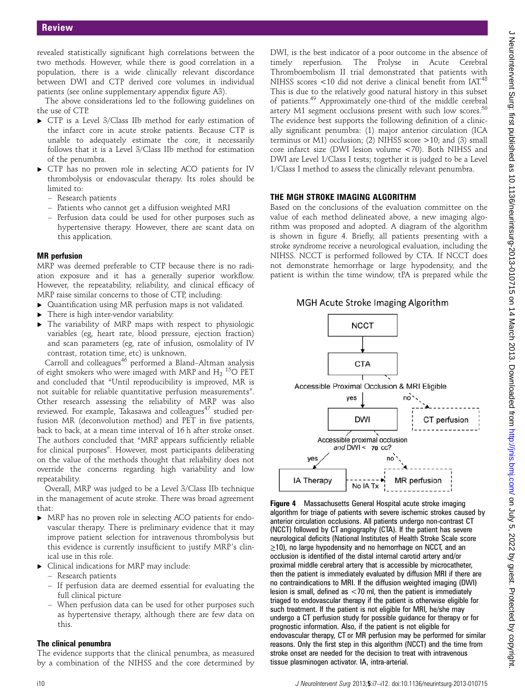revealed statistically significant high correlations between the two methods. However, while there is good correlation in a population, there is a wide clinically relevant discordance between DWI and CTP derived core volumes in individual patients (see online [supplementary appendix](http://jnis.bmj.com/lookup/suppl/doi:10.1136/neurintsurg-2013-010715/-/DC1) figure A3).

The above considerations led to the following guidelines on the use of CTP.

- ▶ CTP is a Level 3/Class IIb method for early estimation of the infarct core in acute stroke patients. Because CTP is unable to adequately estimate the core, it necessarily follows that it is a Level 3/Class IIb method for estimation of the penumbra.
- ▸ CTP has no proven role in selecting ACO patients for IV thrombolysis or endovascular therapy. Its roles should be limited to:
	- Research patients
	- Patients who cannot get a diffusion weighted MRI
	- Perfusion data could be used for other purposes such as hypertensive therapy. However, there are scant data on this application.

# MR perfusion

MRP was deemed preferable to CTP because there is no radiation exposure and it has a generally superior workflow. However, the repeatability, reliability, and clinical efficacy of MRP raise similar concerns to those of CTP, including:

- ▶ Quantification using MR perfusion maps is not validated.
- ▸ There is high inter-vendor variability.
- ▸ The variability of MRP maps with respect to physiologic variables (eg, heart rate, blood pressure, ejection fraction) and scan parameters (eg, rate of infusion, osmolality of IV contrast, rotation time, etc) is unknown.

Carroll and colleagues $46$  performed a Bland–Altman analysis of eight smokers who were imaged with MRP and  $H_2$  <sup>15</sup>O PET and concluded that "Until reproducibility is improved, MR is not suitable for reliable quantitative perfusion measurements". Other research assessing the reliability of MRP was also reviewed. For example, Takasawa and colleagues<sup>47</sup> studied perfusion MR (deconvolution method) and PET in five patients, back to back, at a mean time interval of 16 h after stroke onset. The authors concluded that "MRP appears sufficiently reliable for clinical purposes". However, most participants deliberating on the value of the methods thought that reliability does not override the concerns regarding high variability and low repeatability.

Overall, MRP was judged to be a Level 3/Class IIb technique in the management of acute stroke. There was broad agreement that:

- ▶ MRP has no proven role in selecting ACO patients for endovascular therapy. There is preliminary evidence that it may improve patient selection for intravenous thrombolysis but this evidence is currently insufficient to justify MRP's clinical use in this role.
- ▸ Clinical indications for MRP may include:
	- Research patients
	- If perfusion data are deemed essential for evaluating the full clinical picture
	- When perfusion data can be used for other purposes such as hypertensive therapy, although there are few data on this.

#### The clinical penumbra

The evidence supports that the clinical penumbra, as measured by a combination of the NIHSS and the core determined by

DWI, is the best indicator of a poor outcome in the absence of timely reperfusion. The Prolyse in Acute Cerebral Thromboembolism II trial demonstrated that patients with NIHSS scores  $\leq 10$  did not derive a clinical benefit from IAT.<sup>48</sup> This is due to the relatively good natural history in this subset of patients.<sup>49</sup> Approximately one-third of the middle cerebral artery M1 segment occlusions present with such low scores. $50$ The evidence best supports the following definition of a clinically significant penumbra: (1) major anterior circulation (ICA terminus or M1) occlusion; (2) NIHSS score  $>10$ ; and (3) small core infarct size (DWI lesion volume <70). Both NIHSS and DWI are Level 1/Class I tests; together it is judged to be a Level 1/Class I method to assess the clinically relevant penumbra.

# THE MGH STROKE IMAGING ALGORITHM

Based on the conclusions of the evaluation committee on the value of each method delineated above, a new imaging algorithm was proposed and adopted. A diagram of the algorithm is shown in figure 4. Briefly, all patients presenting with a stroke syndrome receive a neurological evaluation, including the NIHSS. NCCT is performed followed by CTA. If NCCT does not demonstrate hemorrhage or large hypodensity, and the patient is within the time window, tPA is prepared while the



Figure 4 Massachusetts General Hospital acute stroke imaging algorithm for triage of patients with severe ischemic strokes caused by anterior circulation occlusions. All patients undergo non-contrast CT (NCCT) followed by CT angiography (CTA). If the patient has severe neurological deficits (National Institutes of Health Stroke Scale score  $\geq$ 10), no large hypodensity and no hemorrhage on NCCT, and an occlusion is identified of the distal internal carotid artery and/or proximal middle cerebral artery that is accessible by microcatheter, then the patient is immediately evaluated by diffusion MRI if there are no contraindications to MRI. If the diffusion weighted imaging (DWI) lesion is small, defined as  $<$  70 ml, then the patient is immediately triaged to endovascular therapy if the patient is otherwise eligible for such treatment. If the patient is not eligible for MRI, he/she may undergo a CT perfusion study for possible guidance for therapy or for prognostic information. Also, if the patient is not eligible for endovascular therapy, CT or MR perfusion may be performed for similar reasons. Only the first step in this algorithm (NCCT) and the time from stroke onset are needed for the decision to treat with intravenous tissue plasminogen activator. IA, intra-arterial.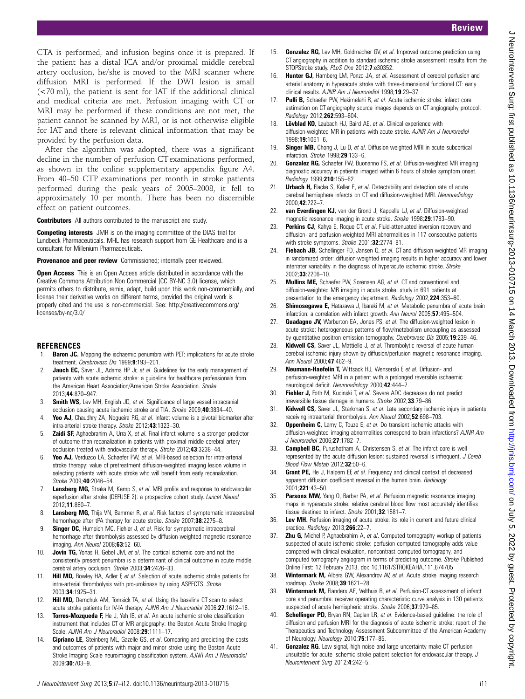CTA is performed, and infusion begins once it is prepared. If the patient has a distal ICA and/or proximal middle cerebral artery occlusion, he/she is moved to the MRI scanner where diffusion MRI is performed. If the DWI lesion is small (<70 ml), the patient is sent for IAT if the additional clinical and medical criteria are met. Perfusion imaging with CT or MRI may be performed if these conditions are not met, the patient cannot be scanned by MRI, or is not otherwise eligible for IAT and there is relevant clinical information that may be provided by the perfusion data.

After the algorithm was adopted, there was a significant decline in the number of perfusion CT examinations performed, as shown in the online [supplementary appendix](http://jnis.bmj.com/lookup/suppl/doi:10.1136/neurintsurg-2013-010715/-/DC1) figure A4. From 40–50 CTP examinations per month in stroke patients performed during the peak years of 2005–2008, it fell to approximately 10 per month. There has been no discernible effect on patient outcomes.

**Contributors** All authors contributed to the manuscript and study.

Competing interests JMR is on the imaging committee of the DIAS trial for Lundbeck Pharmaceuticals. MHL has research support from GE Healthcare and is a consultant for Millenium Pharmaceuticals.

Provenance and peer review Commissioned; internally peer reviewed.

**Open Access** This is an Open Access article distributed in accordance with the Creative Commons Attribution Non Commercial (CC BY-NC 3.0) license, which permits others to distribute, remix, adapt, build upon this work non-commercially, and license their derivative works on different terms, provided the original work is properly cited and the use is non-commercial. See: http://creativecommons.org/ licenses/by-nc/3.0/

#### **REFERENCES**

- 1. **Baron JC.** Mapping the ischaemic penumbra with PET: implications for acute stroke treatment. Cerebrovasc Dis 1999:9:193-201
- 2. Jauch EC, Saver JL, Adams HP Jr, et al. Guidelines for the early management of patients with acute ischemic stroke: a guideline for healthcare professionals from the American Heart Association/American Stroke Association. Stroke 2013;44:870–947.
- 3. **Smith WS,** Lev MH, English JD, et al. Significance of large vessel intracranial occlusion causing acute ischemic stroke and TIA. Stroke 2009;40:3834–40.
- 4. Yoo AJ, Chaudhry ZA, Noqueira RG, et al. Infarct volume is a pivotal biomarker after intra-arterial stroke therapy. Stroke 2012;43:1323–30.
- 5. **Zaidi SF,** Aghaebrahim A, Urra X, et al. Final infarct volume is a stronger predictor of outcome than recanalization in patients with proximal middle cerebral artery occlusion treated with endovascular therapy. Stroke 2012;43:3238–44.
- 6. Yoo AJ, Verduzco LA, Schaefer PW, et al. MRI-based selection for intra-arterial stroke therapy: value of pretreatment diffusion-weighted imaging lesion volume in selecting patients with acute stroke who will benefit from early recanalization.  $Strake$  2009; 40:2046–54.
- 7. Lansberg MG, Straka M, Kemp S, et al. MRI profile and response to endovascular reperfusion after stroke (DEFUSE 2): a prospective cohort study. Lancet Neurol 2012;11:860–7.
- 8. **Lansberg MG,** Thijs VN, Bammer R, et al. Risk factors of symptomatic intracerebral hemorrhage after tPA therapy for acute stroke. Stroke 2007;38:2275-8.
- 9. Singer OC, Humpich MC, Fiehler J, et al. Risk for symptomatic intracerebral hemorrhage after thrombolysis assessed by diffusion-weighted magnetic resonance imaging. Ann Neurol 2008;63:52-60.
- 10. **Jovin TG,** Yonas H, Gebel JM, et al. The cortical ischemic core and not the consistently present penumbra is a determinant of clinical outcome in acute middle cerebral artery occlusion. Stroke 2003;34:2426-33.
- 11. **Hill MD,** Rowley HA, Adler F, et al. Selection of acute ischemic stroke patients for intra-arterial thrombolysis with pro-urokinase by using ASPECTS. Stroke 2003;34:1925–31.
- 12. **Hill MD,** Demchuk AM, Tomsick TA, et al. Using the baseline CT scan to select acute stroke patients for IV-IA therapy. AJNR Am J Neuroradiol 2006;27:1612-16.
- 13. Torres-Mozqueda F, He J, Yeh IB, et al. An acute ischemic stroke classification instrument that includes CT or MR angiography: the Boston Acute Stroke Imaging Scale. AJNR Am J Neuroradiol 2008;29:1111–17.
- 14. **Cipriano LE,** Steinberg ML, Gazelle GS, et al. Comparing and predicting the costs and outcomes of patients with major and minor stroke using the Boston Acute Stroke Imaging Scale neuroimaging classification system. AJNR Am J Neuroradiol 2009;30:703–9.
- 15. Gonzalez RG, Lev MH, Goldmacher GV, et al. Improved outcome prediction using CT angiography in addition to standard ischemic stroke assessment: results from the STOPStroke study. PLoS One 2012:7:e30352.
- 16. Hunter GJ, Hamberg LM, Ponzo JA, et al. Assessment of cerebral perfusion and arterial anatomy in hyperacute stroke with three-dimensional functional CT: early clinical results. AJNR Am J Neuroradiol 1998:19:29-37.
- Pulli B, Schaefer PW, Hakimelahi R, et al. Acute ischemic stroke: infarct core estimation on CT angiography source images depends on CT angiography protocol. Radiology 2012;262:593–604.
- 18. Lövblad KO, Laubach HJ, Baird AE, et al. Clinical experience with diffusion-weighted MR in patients with acute stroke. AJNR Am J Neuroradiol 1998;19:1061–6.
- 19. **Singer MB,** Chong J, Lu D, et al. Diffusion-weighted MRI in acute subcortical infarction. Stroke 1998;29:133–6.
- 20. Gonzalez RG, Schaefer PW, Buonanno FS, et al. Diffusion-weighted MR imaging: diagnostic accuracy in patients imaged within 6 hours of stroke symptom onset. Radiology 1999;210:155–62.
- 21. **Urbach H,** Flacke S, Keller E, et al. Detectability and detection rate of acute cerebral hemisphere infarcts on CT and diffusion-weighted MRI. Neuroradiology 2000;42:722–7.
- 22. van Everdingen KJ, van der Grond J, Kappelle LJ, et al. Diffusion-weighted magnetic resonance imaging in acute stroke. Stroke 1998;29:1783–90.
- 23. Perkins CJ, Kahya E, Roque CT, et al. Fluid-attenuated inversion recovery and diffusion- and perfusion-weighted MRI abnormalities in 117 consecutive patients with stroke symptoms. Stroke 2001;32:2774-81.
- 24. Fiebach JB, Schellinger PD, Jansen O, et al. CT and diffusion-weighted MR imaging in randomized order: diffusion-weighted imaging results in higher accuracy and lower interrater variability in the diagnosis of hyperacute ischemic stroke. Stroke 2002;33:2206–10.
- 25. **Mullins ME,** Schaefer PW, Sorensen AG, et al. CT and conventional and diffusion-weighted MR imaging in acute stroke: study in 691 patients at presentation to the emergency department. Radiology 2002;224:353-60.
- 26. **Shimosegawa E**, Hatazawa J, Ibaraki M, et al. Metabolic penumbra of acute brain infarction: a correlation with infarct growth. Ann Neurol 2005;57:495-504.
- 27. Guadagno JV, Warburton EA, Jones PS, et al. The diffusion-weighted lesion in acute stroke: heterogeneous patterns of flow/metabolism uncoupling as assessed by quantitative positron emission tomography. Cerebrovasc Dis 2005;19:239–46.
- 28. Kidwell CS, Saver JL, Mattiello J, et al. Thrombolytic reversal of acute human cerebral ischemic injury shown by diffusion/perfusion magnetic resonance imaging. Ann Neurol 2000;47:462–9.
- 29. Neumann-Haefelin T, Wittsack HJ, Wenserski F, et al. Diffusion- and perfusion-weighted MRI in a patient with a prolonged reversible ischaemic neurological deficit. Neuroradiology 2000;42:444–7.
- 30. Fiehler J, Foth M, Kucinski T, et al. Severe ADC decreases do not predict irreversible tissue damage in humans. Stroke 2002;33:79–86.
- 31. Kidwell CS, Saver JL, Starkman S, et al. Late secondary ischemic injury in patients receiving intraarterial thrombolysis. Ann Neurol 2002;52:698–703.
- 32. **Oppenheim C,** Lamy C, Touze E, et al. Do transient ischemic attacks with diffusion-weighted imaging abnormalities correspond to brain infarctions? AJNR Am J Neuroradiol 2006;27:1782–7.
- 33. **Campbell BC,** Purushotham A, Christensen S, et al. The infarct core is well represented by the acute diffusion lesion: sustained reversal is infrequent. J Cereb Blood Flow Metab 2012;32:50–6.
- 34. Grant PE, He J, Halpern EF, et al. Frequency and clinical context of decreased apparent diffusion coefficient reversal in the human brain. Radiology 2001;221:43–50.
- 35. Parsons MW, Yang Q, Barber PA, et al. Perfusion magnetic resonance imaging maps in hyperacute stroke: relative cerebral blood flow most accurately identifies tissue destined to infarct. Stroke 2001;32:1581-7.
- 36. Lev MH. Perfusion imaging of acute stroke: its role in current and future clinical practice. Radiology 2013;266:22-7.
- **Zhu G,** Michel P, Aghaebrahim A, et al. Computed tomography workup of patients suspected of acute ischemic stroke: perfusion computed tomography adds value compared with clinical evaluation, noncontrast computed tomography, and computed tomography angiogram in terms of predicting outcome. Stroke Published Online First: 12 February 2013. doi: 10.1161/STROKEAHA.111.674705
- Wintermark M, Albers GW, Alexandrov AV, et al. Acute stroke imaging research roadmap. Stroke 2008;39:1621–28.
- 39. Wintermark M, Flanders AE, Velthuis B, et al. Perfusion-CT assessment of infarct core and penumbra: receiver operating characteristic curve analysis in 130 patients suspected of acute hemispheric stroke. Stroke 2006;37:979-85.
- 40. Schellinger PD, Bryan RN, Caplan LR, et al. Evidence-based guideline: the role of diffusion and perfusion MRI for the diagnosis of acute ischemic stroke: report of the Therapeutics and Technology Assessment Subcommittee of the American Academy of Neurology. Neurology 2010;75:177–85.
- 41. Gonzalez RG. Low signal, high noise and large uncertainty make CT perfusion unsuitable for acute ischemic stroke patient selection for endovascular therapy. J Neurointervent Surg 2012;4:242–5.